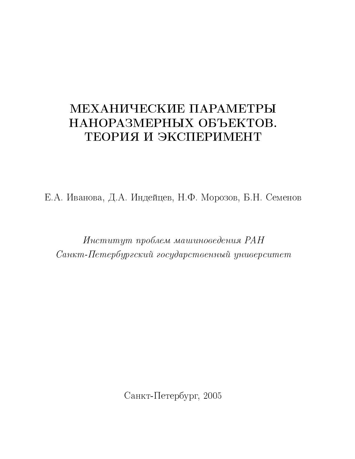# МЕХАНИЧЕСКИЕ ПАРАМЕТРЫ НАНОРАЗМЕРНЫХ ОБЪЕКТОВ. ТЕОРИЯ И ЭКСПЕРИМЕНТ

Е.А. Иванова, Д.А. Индейцев, Н.Ф. Морозов, Б.Н. Семенов

Институт проблем машиноведения РАН Санкт-Петербургский государственный университет

Санкт-Петербург, 2005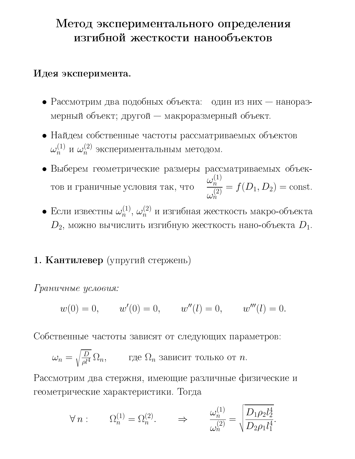## Метод экспериментального определения изгибной жесткости нанообъектов

### Идея эксперимента.

- Рассмотрим два подобных объекта: один из них наноразмерный объект; другой — макроразмерный объект.
- Найдем собственные частоты рассматриваемых объектов  $\omega_n^{(1)}$  и  $\omega_n^{(2)}$  экспериментальным методом.
- Выберем геометрические размеры рассматриваемых объектов и граничные условия так, что  $\frac{\omega_n^{(1)}}{\omega_n^{(2)}} = f(D_1, D_2) = \text{const.}$
- $\bullet$ Если известны $\omega_n^{(1)},\, \omega_n^{(2)}$ и изгибная жесткость макро-объекта  $D_2$ , можно вычислить изгибную жесткость нано-объекта  $D_1$ .

## 1. Кантилевер (упругий стержень)

Граничные условия:

$$
w(0) = 0, \qquad w'(0) = 0, \qquad w''(l) = 0, \qquad w'''(l) = 0.
$$

Собственные частоты зависят от следующих параметров:

$$
\omega_n = \sqrt{\frac{D}{\rho l^4}} \, \Omega_n, \qquad \text{где } \Omega_n \text{ зависит только от } n
$$

Рассмотрим два стержня, имеющие различные физические и геометрические характеристики. Тогда

$$
\forall n: \qquad \Omega_n^{(1)} = \Omega_n^{(2)}. \qquad \Rightarrow \qquad \frac{\omega_n^{(1)}}{\omega_n^{(2)}} = \sqrt{\frac{D_1 \rho_2 l_2^4}{D_2 \rho_1 l_1^4}}.
$$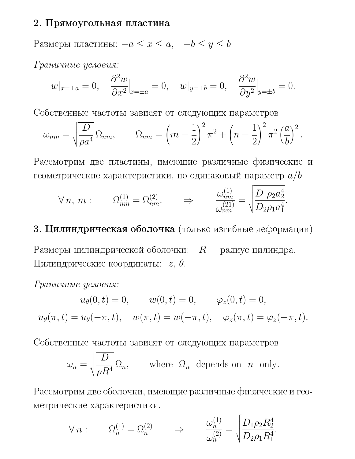#### 2. Прямоугольная пластина

Размеры пластины:  $-a \le x \le a$ ,  $-b \le y \le b$ .

Граничные условия:

$$
w|_{x=\pm a} = 0, \quad \frac{\partial^2 w}{\partial x^2}\Big|_{x=\pm a} = 0, \quad w|_{y=\pm b} = 0, \quad \frac{\partial^2 w}{\partial y^2}\Big|_{y=\pm b} = 0.
$$

Собственные частоты зависят от следующих параметров:

$$
\omega_{nm} = \sqrt{\frac{D}{\rho a^4}} \Omega_{nm}, \qquad \Omega_{nm} = \left(m - \frac{1}{2}\right)^2 \pi^2 + \left(n - \frac{1}{2}\right)^2 \pi^2 \left(\frac{a}{b}\right)^2.
$$

Рассмотрим две пластины, имеющие различные физические и геометрические характеристики, но одинаковый параметр  $a/b$ .

$$
\forall n, m: \qquad \Omega_{nm}^{(1)} = \Omega_{nm}^{(2)}.
$$
\n
$$
\Rightarrow \qquad \frac{\omega_{nm}^{(1)}}{\omega_{nm}^{(21)}} = \sqrt{\frac{D_1 \rho_2 a_2^4}{D_2 \rho_1 a_1^4}}.
$$

## 3. Цилиндрическая оболочка (только изгибные деформации)

Размеры цилиндрической оболочки:  $R$  — радиус цилиндра. Цилиндрические координаты:  $z, \theta$ .

Граничные условия:

$$
u_{\theta}(0, t) = 0, \t w(0, t) = 0, \t \varphi_{z}(0, t) = 0,
$$
  

$$
u_{\theta}(\pi, t) = u_{\theta}(-\pi, t), \t w(\pi, t) = w(-\pi, t), \t \varphi_{z}(\pi, t) = \varphi_{z}(-\pi, t).
$$

Собственные частоты зависят от следующих параметров:

$$
\omega_n = \sqrt{\frac{D}{\rho R^4}} \Omega_n, \quad \text{where } \Omega_n \text{ depends on } n \text{ only.}
$$

Рассмотрим две оболочки, имеющие различные физические и геометрические характеристики.

$$
\forall n: \qquad \Omega_n^{(1)} = \Omega_n^{(2)} \qquad \Rightarrow \qquad \frac{\omega_n^{(1)}}{\omega_n^{(2)}} = \sqrt{\frac{D_1 \rho_2 R_2^4}{D_2 \rho_1 R_1^4}}.
$$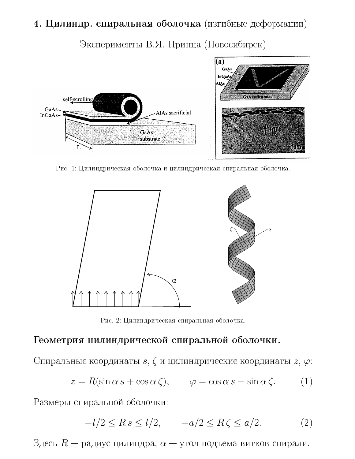### 4. Цилиндр. спиральная оболочка (изгибные деформации)

Эксперименты В.Я. Принца (Новосибирск)



Рис. 1: Цилиндрическая оболочка и цилиндрическая спиральная оболочка.



Рис. 2: Цилиндрическая спиральная оболочка.

#### Геометрия цилиндрической спиральной оболочки.

Спиральные координаты  $s, \zeta$  и цилиндрические координаты  $z, \varphi$ :

$$
z = R(\sin \alpha \, s + \cos \alpha \, \zeta), \qquad \varphi = \cos \alpha \, s - \sin \alpha \, \zeta. \tag{1}
$$

Размеры спиральной оболочки:

$$
-l/2 \le R s \le l/2, \qquad -a/2 \le R \zeta \le a/2. \tag{2}
$$

Здесь  $R$  — радиус цилиндра,  $\alpha$  — угол подъема витков спирали.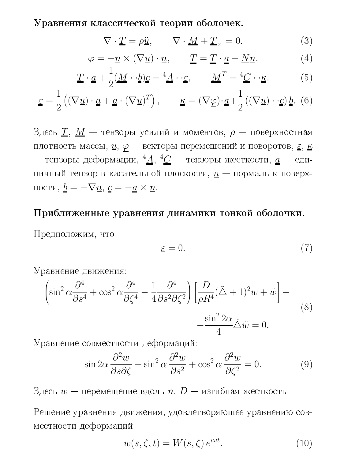Уравнения классической теории оболочек.

$$
\nabla \cdot \underline{\underline{T}} = \rho \underline{\ddot{u}}, \qquad \nabla \cdot \underline{\underline{M}} + \underline{\underline{T}}_{\times} = 0. \tag{3}
$$

$$
\underline{\varphi} = -\underline{n} \times (\nabla \underline{u}) \cdot \underline{n}, \qquad \underline{\underline{T}} = \underline{\underline{T}} \cdot \underline{a} + \underline{N} \underline{n}.
$$
 (4)

$$
\underline{T} \cdot \underline{a} + \frac{1}{2}(\underline{M} \cdot \underline{b})\underline{c} = \frac{4}{4} \cdot \underline{\epsilon}, \qquad \underline{M}^T = \frac{4}{4} \underline{C} \cdot \underline{\kappa}.
$$
 (5)

$$
\underline{\varepsilon} = \frac{1}{2} ((\nabla \underline{u}) \cdot \underline{a} + \underline{a} \cdot (\nabla \underline{u})^T), \qquad \underline{\kappa} = (\nabla \underline{\varphi}) \cdot \underline{a} + \frac{1}{2} ((\nabla \underline{u}) \cdot \underline{\varphi}) \underline{b}.
$$
 (6)

Здесь  $\underline{T}$ ,  $\underline{M}$  – тензоры усилий и моментов,  $\rho$  – поверхностная плотность массы,  $\underline{u}, \underline{\varphi}$  — векторы перемещений и поворотов,  $\underline{\varepsilon}, \underline{\kappa}$ — тензоры деформации,  $4\underline{A}$ ,  $4\underline{C}$  — тензоры жесткости,  $\underline{a}$  — единичный тензор в касательной плоскости,  $n -$  нормаль к поверхности,  $\underline{b} = -\nabla \underline{n}, \underline{c} = -\underline{a} \times \underline{n}.$ 

### Приближенные уравнения динамики тонкой оболочки.

Предположим, что

$$
\underline{\varepsilon} = 0.\tag{7}
$$

Уравнение движения:

$$
\left(\sin^2 \alpha \frac{\partial^4}{\partial s^4} + \cos^2 \alpha \frac{\partial^4}{\partial \zeta^4} - \frac{1}{4} \frac{\partial^4}{\partial s^2 \partial \zeta^2}\right) \left[\frac{D}{\rho R^4} (\tilde{\Delta} + 1)^2 w + \ddot{w}\right] - \frac{\sin^2 2\alpha}{4} \tilde{\Delta}\ddot{w} = 0.
$$
\n(8)

Уравнение совместности деформаций:

$$
\sin 2\alpha \frac{\partial^2 w}{\partial s \partial \zeta} + \sin^2 \alpha \frac{\partial^2 w}{\partial s^2} + \cos^2 \alpha \frac{\partial^2 w}{\partial \zeta^2} = 0.
$$
 (9)

Здесь  $w$  — перемещение вдоль  $\underline{n}$ ,  $D$  — изгибная жесткость.

Решение уравнения движения, удовлетворяющее уравнению совместности деформаций:

$$
w(s,\zeta,t) = W(s,\zeta) e^{i\omega t}.
$$
 (10)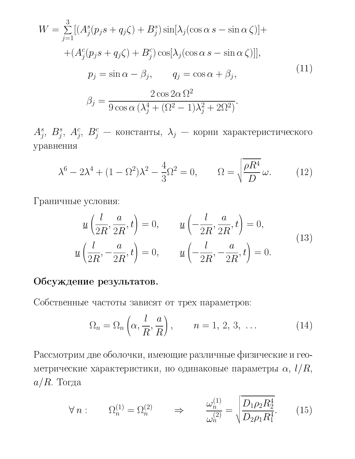$$
W = \sum_{j=1}^{3} \left[ \left( A_j^s (p_j s + q_j \zeta) + B_j^s \right) \sin \left[ \lambda_j (\cos \alpha s - \sin \alpha \zeta) \right] + \right.
$$
  
+ 
$$
\left( A_j^c (p_j s + q_j \zeta) + B_j^c \right) \cos \left[ \lambda_j (\cos \alpha s - \sin \alpha \zeta) \right],
$$
  

$$
p_j = \sin \alpha - \beta_j, \qquad q_j = \cos \alpha + \beta_j,
$$
  

$$
\beta_j = \frac{2 \cos 2\alpha \Omega^2}{9 \cos \alpha \left( \lambda_j^4 + (\Omega^2 - 1) \lambda_j^2 + 2\Omega^2 \right)}.
$$
  
(11)

 $A_j^s, \; B_j^s, \; A_j^c, \; B_j^c$  — константы, $\; \lambda_j \; -$ корни характеристического уравнения

$$
\lambda^6 - 2\lambda^4 + (1 - \Omega^2)\lambda^2 - \frac{4}{3}\Omega^2 = 0, \qquad \Omega = \sqrt{\frac{\rho R^4}{D}}\,\omega. \tag{12}
$$

Граничные условия:

$$
\underline{u}\left(\frac{l}{2R}, \frac{a}{2R}, t\right) = 0, \qquad \underline{u}\left(-\frac{l}{2R}, \frac{a}{2R}, t\right) = 0,
$$
\n
$$
\underline{u}\left(\frac{l}{2R}, -\frac{a}{2R}, t\right) = 0, \qquad \underline{u}\left(-\frac{l}{2R}, -\frac{a}{2R}, t\right) = 0.
$$
\n(13)

## Обсуждение результатов.

Собственные частоты зависят от трех параметров:

$$
\Omega_n = \Omega_n \left( \alpha, \frac{l}{R}, \frac{a}{R} \right), \qquad n = 1, 2, 3, \dots \tag{14}
$$

Рассмотрим две оболочки, имеющие различные физические и геометрические характеристики, но одинаковые параметры  $\alpha$ ,  $l/R$ ,  $a/R$ . Тогда

$$
\forall n: \qquad \Omega_n^{(1)} = \Omega_n^{(2)} \qquad \Rightarrow \qquad \frac{\omega_n^{(1)}}{\omega_n^{(2)}} = \sqrt{\frac{D_1 \rho_2 R_2^4}{D_2 \rho_1 R_1^4}}.\tag{15}
$$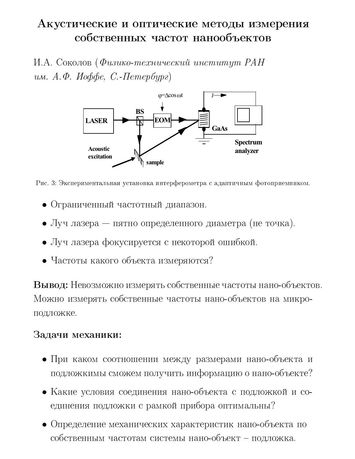# Акустические и оптические методы измерения собственных частот нанообъектов

И.А. Соколов (Физико-технический институт РАН им. А.Ф. Иоффе, С.-Петербург)



Рис. 3: Экспериментальная установка интерферометра с адаптичным фотоприемником.

- Ограниченный частотный диапазон.
- Луч лазера пятно определенного диаметра (не точка).
- Луч лазера фокусируется с некоторой ошибкой.
- Частоты какого объекта измеряются?

Вывод: Невозможно измерять собственные частоты нано-объектов. Можно измерять собственные частоты нано-объектов на микроподложке.

### Задачи механики:

- При каком соотношении между размерами нано-объекта и подложкимы сможем получить информацию о нано-объекте?
- Какие условия соединения нано-объекта с подложкой и соединения подложки с рамкой прибора оптимальны?
- Определение механических характеристик нано-объекта по собственным частотам системы нано-объект - подложка.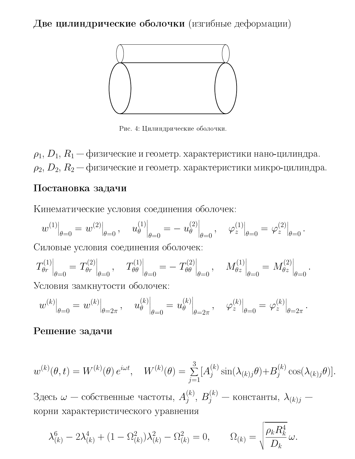+ - 3##% 6##4



- -- -
- -

 $\rho_1, \, D_1, \, R_1$  — физические и геометр. характеристики нано-цилиндра.  $\rho_2,\,D_2,\,R_2$  — физические и геометр. характеристики микро-цилиндра.

#### &-

Кинематические условия соединения оболочек:

$$
w^{(1)}\big|_{\theta=0}=w^{(2)}\big|_{\theta=0}\,,\quad u^{(1)}_\theta\big|_{\theta=0}=-\left.u^{(2)}_\theta\right|_{\theta=0},\quad \left.\varphi^{(1)}_z\right|_{\theta=0}=\left.\varphi^{(2)}_z\right|_{\theta=0}.
$$

Силовые условия соединения оболочек:

$$
T_{\theta r}^{(1)}\Big|_{\theta=0} = T_{\theta r}^{(2)}\Big|_{\theta=0}, \quad T_{\theta\theta}^{(1)}\Big|_{\theta=0} = -T_{\theta\theta}^{(2)}\Big|_{\theta=0}, \quad M_{\theta z}^{(1)}\Big|_{\theta=0} = M_{\theta z}^{(2)}\Big|_{\theta=0}.
$$
  
Условия замкнутости оболочек:

$$
w^{(k)}|_{\theta=0} = w^{(k)}|_{\theta=2\pi}, \quad u^{(k)}_{\theta}\Big|_{\theta=0} = u^{(k)}_{\theta}\Big|_{\theta=2\pi}, \quad \varphi^{(k)}_{z}\Big|_{\theta=0} = \varphi^{(k)}_{z}\Big|_{\theta=2\pi}.
$$

 $\sim$   $\sim$   $\sim$   $\sim$   $\sim$ 

#### ,- &-

w(k) (θ, t) = W(k) (θ) eiωt, W(k) (θ) = 3 j=1 [A(k) <sup>j</sup> sin(λ(k)jθ)+B(k) <sup>j</sup> cos(λ(k)jθ)].

Здесь  $\omega-\text{co6}$ ственные частоты,  $A_j^{(k)},\,B_j^{(k)}-\text{\small{\texttt{KOHCTaHTbl}}},\,\lambda_{(k)j}$ корни характеристического уравнения

$$
\lambda_{(k)}^6 - 2\lambda_{(k)}^4 + (1 - \Omega_{(k)}^2)\lambda_{(k)}^2 - \Omega_{(k)}^2 = 0, \qquad \Omega_{(k)} = \sqrt{\frac{\rho_k R_k^4}{D_k}} \omega.
$$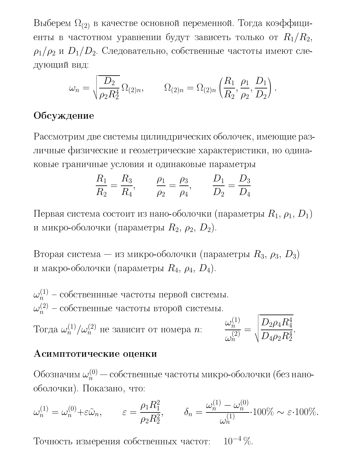Выберем  $\Omega_{(2)}$  в качестве основной переменной. Тогда коэффициенты в частотном уравнении будут зависеть только от  $R_1/R_2$ ,  $\rho_1/\rho_2$  и  $D_1/D_2$ . Следовательно, собственные частоты имеют следующий вид:

$$
\omega_n = \sqrt{\frac{D_2}{\rho_2 R_2^4}} \Omega_{(2)n}, \qquad \Omega_{(2)n} = \Omega_{(2)n} \left( \frac{R_1}{R_2}, \frac{\rho_1}{\rho_2}, \frac{D_1}{D_2} \right).
$$

### Обсуждение

Рассмотрим две системы цилиндрических оболочек, имеющие различные физические и геометрические характеристики, но одинаковые граничные условия и одинаковые параметры

$$
\frac{R_1}{R_2} = \frac{R_3}{R_4}, \qquad \frac{\rho_1}{\rho_2} = \frac{\rho_3}{\rho_4}, \qquad \frac{D_1}{D_2} = \frac{D_3}{D_4}
$$

Первая система состоит из нано-оболочки (параметры  $R_1, \rho_1, D_1$ ) и микро-оболочки (параметры  $R_2$ ,  $\rho_2$ ,  $D_2$ ).

Вторая система — из микро-оболочки (параметры  $R_3$ ,  $\rho_3$ ,  $D_3$ ) и макро-оболочки (параметры  $R_4$ ,  $\rho_4$ ,  $D_4$ ).

$$
\omega_n^{(1)} - \text{собственнные частоты первой системы.}
$$
\n
$$
\omega_n^{(2)} - \text{собственные частоты второй системы.}
$$
\nТогда  $\omega_n^{(1)}/\omega_n^{(2)}$  не зависит от номера  $n$ :

\n
$$
\frac{\omega_n^{(1)}}{\omega_n^{(2)}} = \sqrt{\frac{D_2 \rho_4 R_4^4}{D_4 \rho_2 R_2^4}}.
$$

#### Асимптотические оценки

Обозначим  $\omega_n^{(0)}$  — собственные частоты микро-оболочки (без нанооболочки). Показано, что:

$$
\omega_n^{(1)} = \omega_n^{(0)} + \varepsilon \tilde{\omega}_n, \qquad \varepsilon = \frac{\rho_1 R_1^2}{\rho_2 R_2^2}, \qquad \delta_n = \frac{\omega_n^{(1)} - \omega_n^{(0)}}{\omega_n^{(1)}} \cdot 100\% \sim \varepsilon \cdot 100\%.
$$

Точность измерения собственных частот:  $10^{-4}$  %.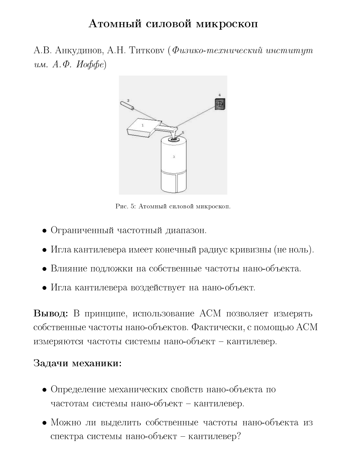## Атомный силовой микроскоп

А.В. Анкудинов, А.Н. Титкову (Физико-технический институт им.  $A.\Phi$ . Иоффе)



Рис. 5: Атомный силовой микроскоп.

- Ограниченный частотный диапазон.
- Игла кантилевера имеет конечный радиус кривизны (не ноль).
- Влияние подложки на собственные частоты нано-объекта.
- Игла кантилевера воздействует на нано-объект.

Вывод: В принципе, использование АСМ позволяет измерять собственные частоты нано-объектов. Фактически, с помощью АСМ измеряются частоты системы нано-объект - кантилевер.

#### Задачи механики:

- Определение механических свойств нано-объекта по частотам системы нано-объект - кантилевер.
- Можно ли выделить собственные частоты нано-объекта из спектра системы нано-объект - кантилевер?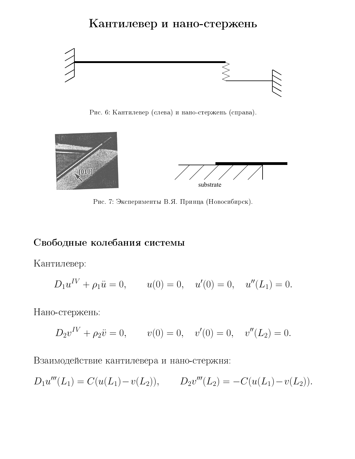## Кантилевер и нано-стержень



гис. о. глантилевер (слева) и нано-стержень (справа).



- ) - \*+ ,- %---&

#### /-\$  \$

Кантилевер:

$$
D_1 u^{IV} + \rho_1 \ddot{u} = 0
$$
,  $u(0) = 0$ ,  $u'(0) = 0$ ,  $u''(L_1) = 0$ .

Нано-стержень:

$$
D_2v^{IV} + \rho_2\ddot{v} = 0
$$
,  $v(0) = 0$ ,  $v'(0) = 0$ ,  $v''(L_2) = 0$ .

Взаимодействие кантилевера и нано-стержня:

$$
D_1u'''(L_1) = C(u(L_1) - v(L_2)), \qquad D_2v'''(L_2) = -C(u(L_1) - v(L_2)).
$$